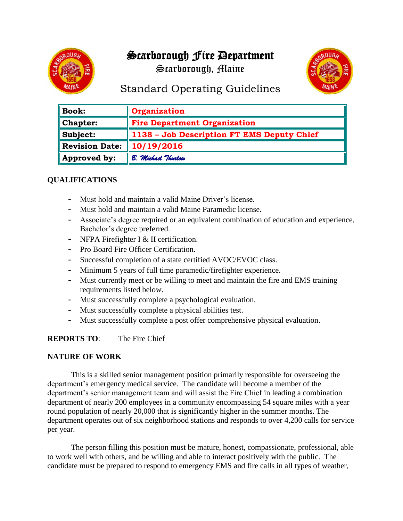# Scarborough Fire Department

Scarborough, Maine



# Standard Operating Guidelines

| <b>Book:</b>          | Organization                               |
|-----------------------|--------------------------------------------|
| Chapter:              | <b>Fire Department Organization</b>        |
| Subject:              | 1138 - Job Description FT EMS Deputy Chief |
| <b>Revision Date:</b> | 10/19/2016                                 |
| Approved by:          | B. Michael Thurlow                         |

## **QUALIFICATIONS**

- Must hold and maintain a valid Maine Driver's license.
- Must hold and maintain a valid Maine Paramedic license.
- Associate's degree required or an equivalent combination of education and experience, Bachelor's degree preferred.
- NFPA Firefighter I & II certification.
- Pro Board Fire Officer Certification.
- Successful completion of a state certified AVOC/EVOC class.
- Minimum 5 years of full time paramedic/firefighter experience.
- Must currently meet or be willing to meet and maintain the fire and EMS training requirements listed below.
- Must successfully complete a psychological evaluation.
- Must successfully complete a physical abilities test.
- Must successfully complete a post offer comprehensive physical evaluation.

### **REPORTS TO**: The Fire Chief

### **NATURE OF WORK**

This is a skilled senior management position primarily responsible for overseeing the department's emergency medical service. The candidate will become a member of the department's senior management team and will assist the Fire Chief in leading a combination department of nearly 200 employees in a community encompassing 54 square miles with a year round population of nearly 20,000 that is significantly higher in the summer months. The department operates out of six neighborhood stations and responds to over 4,200 calls for service per year.

The person filling this position must be mature, honest, compassionate, professional, able to work well with others, and be willing and able to interact positively with the public. The candidate must be prepared to respond to emergency EMS and fire calls in all types of weather,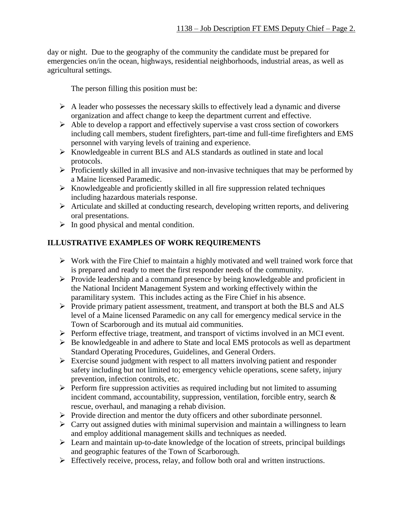day or night. Due to the geography of the community the candidate must be prepared for emergencies on/in the ocean, highways, residential neighborhoods, industrial areas, as well as agricultural settings.

The person filling this position must be:

- $\triangleright$  A leader who possesses the necessary skills to effectively lead a dynamic and diverse organization and affect change to keep the department current and effective.
- ➢ Able to develop a rapport and effectively supervise a vast cross section of coworkers including call members, student firefighters, part-time and full-time firefighters and EMS personnel with varying levels of training and experience.
- ➢ Knowledgeable in current BLS and ALS standards as outlined in state and local protocols.
- ➢ Proficiently skilled in all invasive and non-invasive techniques that may be performed by a Maine licensed Paramedic.
- $\triangleright$  Knowledgeable and proficiently skilled in all fire suppression related techniques including hazardous materials response.
- ➢ Articulate and skilled at conducting research, developing written reports, and delivering oral presentations.
- $\triangleright$  In good physical and mental condition.

### **ILLUSTRATIVE EXAMPLES OF WORK REQUIREMENTS**

- ➢ Work with the Fire Chief to maintain a highly motivated and well trained work force that is prepared and ready to meet the first responder needs of the community.
- ➢ Provide leadership and a command presence by being knowledgeable and proficient in the National Incident Management System and working effectively within the paramilitary system. This includes acting as the Fire Chief in his absence.
- ➢ Provide primary patient assessment, treatment, and transport at both the BLS and ALS level of a Maine licensed Paramedic on any call for emergency medical service in the Town of Scarborough and its mutual aid communities.
- ➢ Perform effective triage, treatment, and transport of victims involved in an MCI event.
- ➢ Be knowledgeable in and adhere to State and local EMS protocols as well as department Standard Operating Procedures, Guidelines, and General Orders.
- ➢ Exercise sound judgment with respect to all matters involving patient and responder safety including but not limited to; emergency vehicle operations, scene safety, injury prevention, infection controls, etc.
- ➢ Perform fire suppression activities as required including but not limited to assuming incident command, accountability, suppression, ventilation, forcible entry, search & rescue, overhaul, and managing a rehab division.
- ➢ Provide direction and mentor the duty officers and other subordinate personnel.
- $\triangleright$  Carry out assigned duties with minimal supervision and maintain a willingness to learn and employ additional management skills and techniques as needed.
- ➢ Learn and maintain up-to-date knowledge of the location of streets, principal buildings and geographic features of the Town of Scarborough.
- ➢ Effectively receive, process, relay, and follow both oral and written instructions.